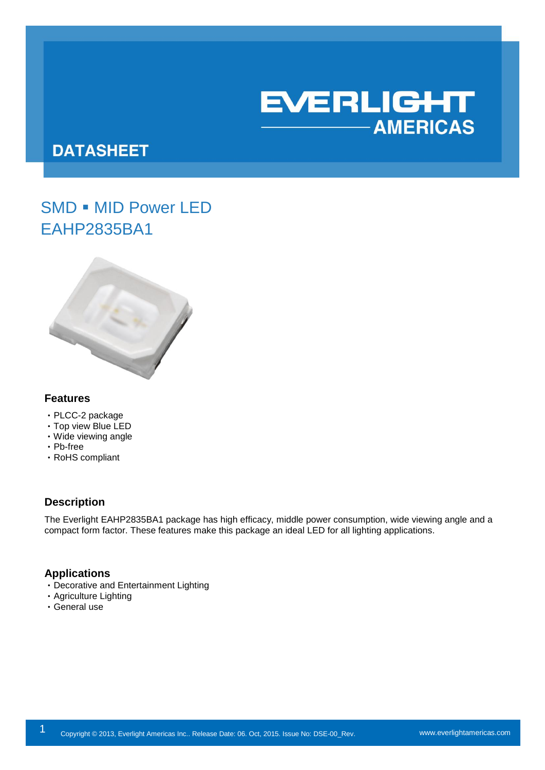

# **DATASHEET**

# SMD . MID Power LED EAHP2835BA1



#### **Features**

- ‧PLCC-2 package
- ‧Top view Blue LED
- ‧Wide viewing angle
- ‧Pb-free
- ‧RoHS compliant

## **Description**

The Everlight EAHP2835BA1 package has high efficacy, middle power consumption, wide viewing angle and a compact form factor. These features make this package an ideal LED for all lighting applications.

### **Applications**

- ‧Decorative and Entertainment Lighting
- ‧Agriculture Lighting
- ‧General use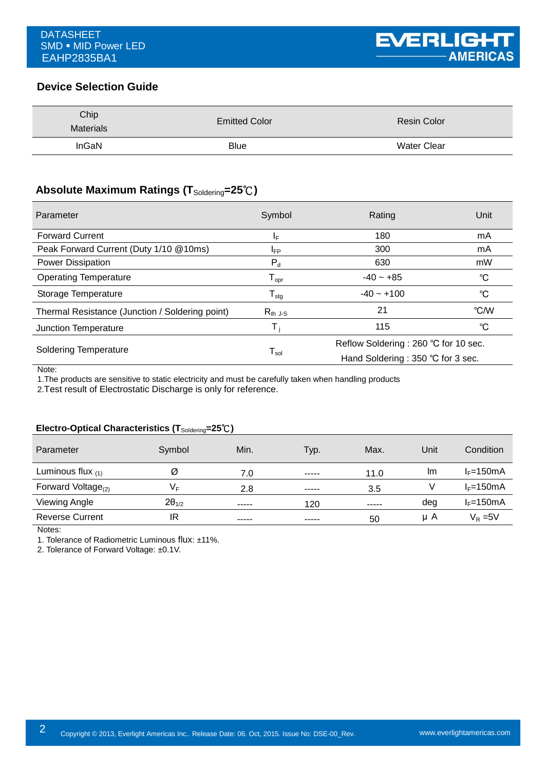# **Device Selection Guide**

| Chip<br><b>Materials</b> | <b>Emitted Color</b> | <b>Resin Color</b> |
|--------------------------|----------------------|--------------------|
| InGaN                    | <b>Blue</b>          | <b>Water Clear</b> |

# **Absolute Maximum Ratings (T**Soldering**=25**℃**)**

| Parameter                                       | Symbol                       | Rating                               | Unit        |
|-------------------------------------------------|------------------------------|--------------------------------------|-------------|
| <b>Forward Current</b>                          | ΙF                           | 180                                  | mA          |
| Peak Forward Current (Duty 1/10 @10ms)          | IFP                          | 300                                  | mA          |
| <b>Power Dissipation</b>                        | $P_d$                        | 630                                  | mW          |
| <b>Operating Temperature</b>                    | ${\mathsf T}_{\mathsf{opr}}$ | $-40 - +85$                          | °C          |
| Storage Temperature                             | ${\mathsf T}_{\text{stg}}$   | $-40 - +100$                         | $^{\circ}C$ |
| Thermal Resistance (Junction / Soldering point) | $R_{th}$ J-S                 | 21                                   | °C/W        |
| Junction Temperature                            | т,                           | 115                                  | °C          |
| <b>Soldering Temperature</b>                    | ${\mathsf T}_{\sf sol}$      | Reflow Soldering: 260 °C for 10 sec. |             |
|                                                 |                              | Hand Soldering: 350 °C for 3 sec.    |             |

Note:

1.The products are sensitive to static electricity and must be carefully taken when handling products

2.Test result of Electrostatic Discharge is only for reference.

### **Electro-Optical Characteristics (T**Soldering**=25**℃**)**

| Parameter                | Symbol          | Min.  | Typ.  | Max.  | Unit | Condition             |
|--------------------------|-----------------|-------|-------|-------|------|-----------------------|
| Luminous flux $(1)$      | Ø               | 7.0   | ----- | 11.0  | Im   | $I_F = 150 \text{mA}$ |
| Forward Voltage $_{(2)}$ | V⊧              | 2.8   | ----- | 3.5   |      | $I_F = 150mA$         |
| Viewing Angle            | $2\theta_{1/2}$ | ----- | 120   | ----- | deg  | $I_F = 150 \text{mA}$ |
| <b>Reverse Current</b>   | IR              | ----- | ----- | 50    | μA   | $V_R = 5V$            |

Notes:

1. Tolerance of Radiometric Luminous flux: ±11%.

2. Tolerance of Forward Voltage: ±0.1V.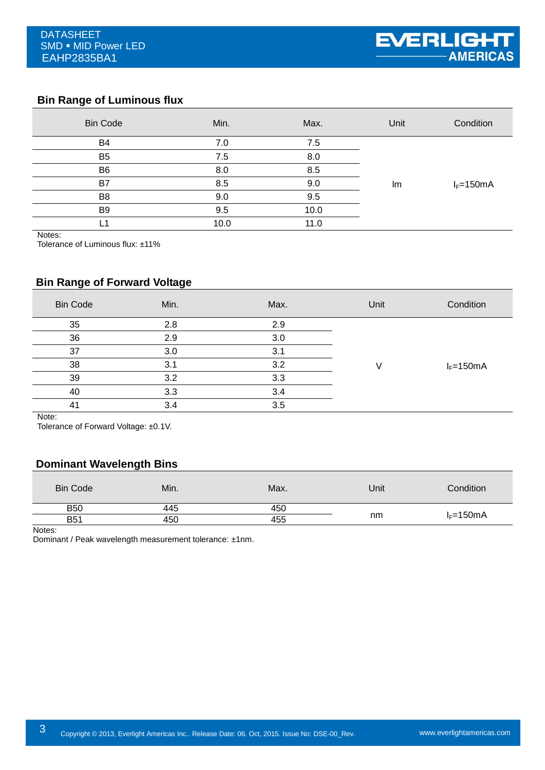# **Bin Range of Luminous flux**

| <b>Bin Code</b> | Min. | Max. | Unit | Condition     |
|-----------------|------|------|------|---------------|
| B <sub>4</sub>  | 7.0  | 7.5  |      |               |
| B <sub>5</sub>  | 7.5  | 8.0  |      |               |
| B <sub>6</sub>  | 8.0  | 8.5  |      |               |
| B7              | 8.5  | 9.0  | Im   | $I_F = 150mA$ |
| B <sub>8</sub>  | 9.0  | 9.5  |      |               |
| B <sub>9</sub>  | 9.5  | 10.0 |      |               |
|                 | 10.0 | 11.0 |      |               |

Notes:

Tolerance of Luminous flux: ±11%

# **Bin Range of Forward Voltage**

| <b>Bin Code</b> | Min. | Max. | Unit | Condition     |
|-----------------|------|------|------|---------------|
| 35              | 2.8  | 2.9  |      |               |
| 36              | 2.9  | 3.0  |      |               |
| 37              | 3.0  | 3.1  |      |               |
| 38              | 3.1  | 3.2  |      | $I_F = 150mA$ |
| 39              | 3.2  | 3.3  |      |               |
| 40              | 3.3  | 3.4  |      |               |
| 41              | 3.4  | 3.5  |      |               |
| .               |      |      |      |               |

Note:

Tolerance of Forward Voltage: ±0.1V.

### **Dominant Wavelength Bins**

| Min. | Max. | Unit | Condition     |
|------|------|------|---------------|
| 445  | 450  |      |               |
| 450  | 455  |      | $I_F = 150mA$ |
|      |      |      | nm            |

Notes:

Dominant / Peak wavelength measurement tolerance: ±1nm.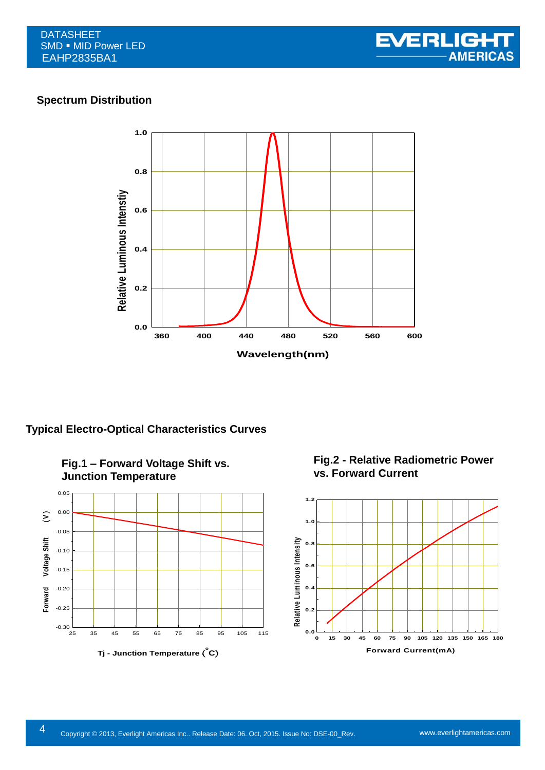## **Spectrum Distribution**



**Typical Electro-Optical Characteristics Curves**



**Fig.2 - Relative Radiometric Power vs. Forward Current**

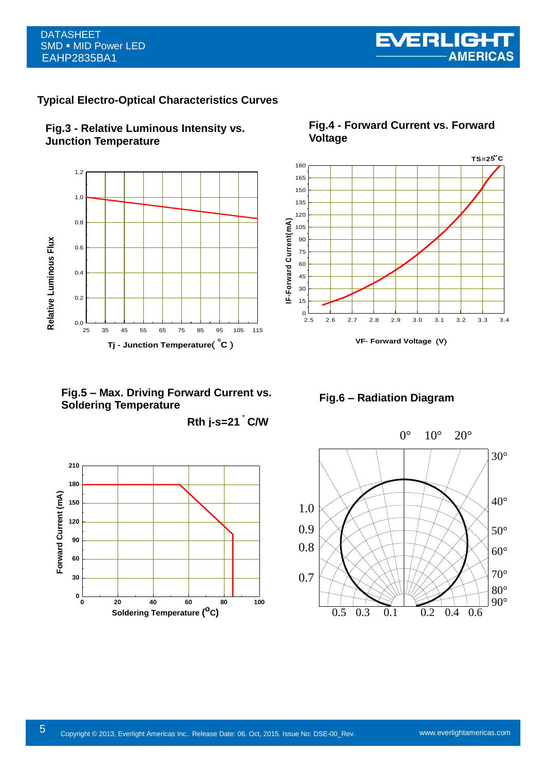#### DATASHEET SMD . MID Power LED EAHP2835BA1

# **Typical Electro-Optical Characteristics Curves**





**Fig.4 - Forward Current vs. Forward Voltage**



**VF**- **Forward Voltage** (**V**)

**Fig.5 – Max. Driving Forward Current vs. Soldering Temperature**

**Rth j-s=21**。 **C/W**



**Fig.6 – Radiation Diagram**

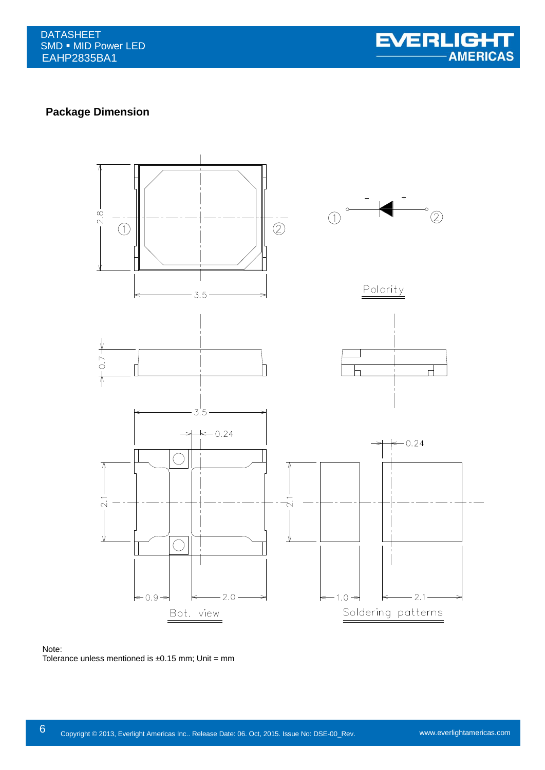

# **Package Dimension**



#### Note: Tolerance unless mentioned is  $\pm 0.15$  mm; Unit = mm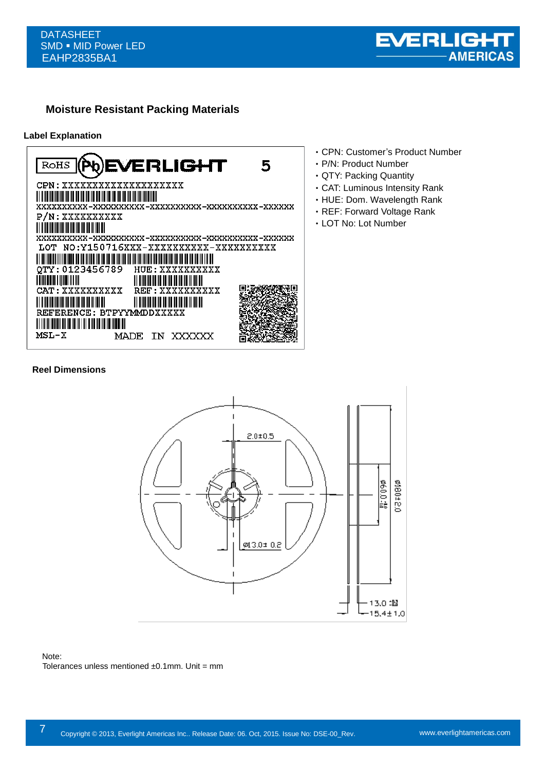

# **Moisture Resistant Packing Materials**

#### **Label Explanation**



- ‧CPN: Customer's Product Number
- ‧P/N: Product Number
- ‧QTY: Packing Quantity
- ‧CAT: Luminous Intensity Rank
- ‧HUE: Dom. Wavelength Rank
- ‧REF: Forward Voltage Rank
- ‧LOT No: Lot Number

#### **Reel Dimensions**



#### Note: Tolerances unless mentioned  $±0.1$ mm. Unit = mm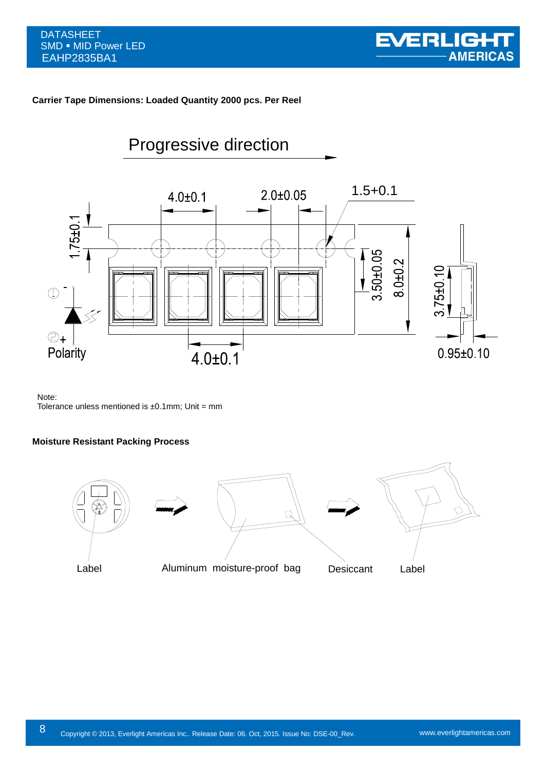#### **Carrier Tape Dimensions: Loaded Quantity 2000 pcs. Per Reel**



### Note:

Tolerance unless mentioned is  $\pm 0.1$ mm; Unit = mm

#### **Moisture Resistant Packing Process**

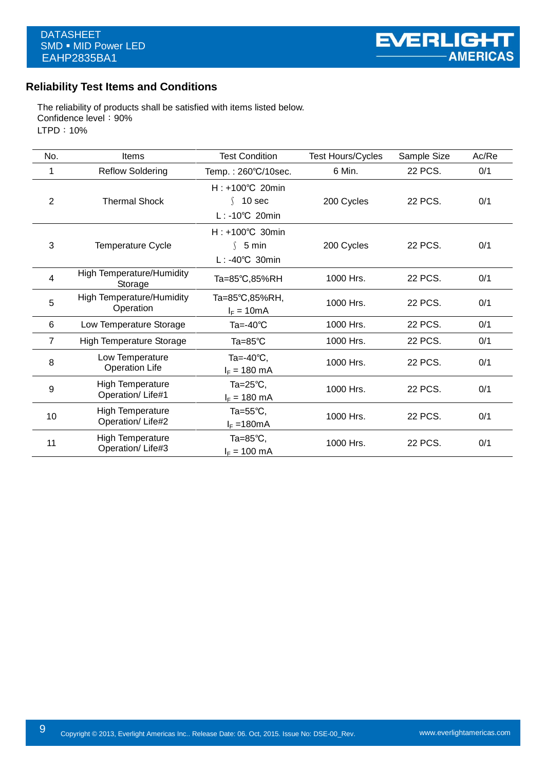# **Reliability Test Items and Conditions**

The reliability of products shall be satisfied with items listed below. Confidence level: 90% LTPD:10%

| No.            | Items                                         | <b>Test Condition</b>                                          | <b>Test Hours/Cycles</b> | Sample Size | Ac/Re |
|----------------|-----------------------------------------------|----------------------------------------------------------------|--------------------------|-------------|-------|
|                | <b>Reflow Soldering</b>                       | Temp.: 260°C/10sec.                                            | 6 Min.                   | 22 PCS.     | 0/1   |
| $\overline{2}$ | <b>Thermal Shock</b>                          | $H: +100^{\circ}C$ 20min<br>10 sec<br>$L: -10^{\circ}C$ 20min  | 200 Cycles               | 22 PCS.     | 0/1   |
| 3              | <b>Temperature Cycle</b>                      | $H: +100^{\circ}C$ 30min<br>\$5 min<br>$L: -40^{\circ}C$ 30min | 200 Cycles               | 22 PCS.     | 0/1   |
| 4              | <b>High Temperature/Humidity</b><br>Storage   | Ta=85°C,85%RH                                                  | 1000 Hrs.                | 22 PCS.     | 0/1   |
| 5              | <b>High Temperature/Humidity</b><br>Operation | Ta=85°C,85%RH,<br>$I_F = 10mA$                                 | 1000 Hrs.                | 22 PCS.     | 0/1   |
| 6              | Low Temperature Storage                       | Ta=-40℃                                                        | 1000 Hrs.                | 22 PCS.     | 0/1   |
| 7              | <b>High Temperature Storage</b>               | $Ta = 85^{\circ}C$                                             | 1000 Hrs.                | 22 PCS.     | 0/1   |
| 8              | Low Temperature<br><b>Operation Life</b>      | Ta=-40℃.<br>$I_F = 180 \text{ mA}$                             | 1000 Hrs.                | 22 PCS.     | 0/1   |
| 9              | <b>High Temperature</b><br>Operation/Life#1   | Ta= $25^{\circ}$ C,<br>$I_F = 180 \text{ mA}$                  | 1000 Hrs.                | 22 PCS.     | 0/1   |
| 10             | <b>High Temperature</b><br>Operation/Life#2   | Ta= $55^{\circ}$ C,<br>$I_F = 180mA$                           | 1000 Hrs.                | 22 PCS.     | 0/1   |
| 11             | <b>High Temperature</b><br>Operation/Life#3   | Ta=85°C,<br>$I_F = 100 \text{ mA}$                             | 1000 Hrs.                | 22 PCS.     | 0/1   |